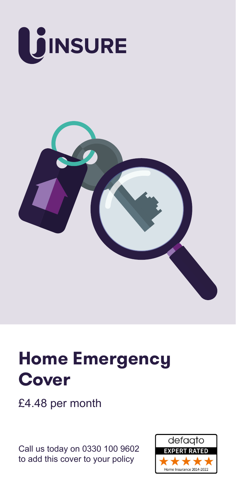



# **Home Emergency Cover**

£4.48 per month

Call us today on 0330 100 9602 to add this cover to your policy